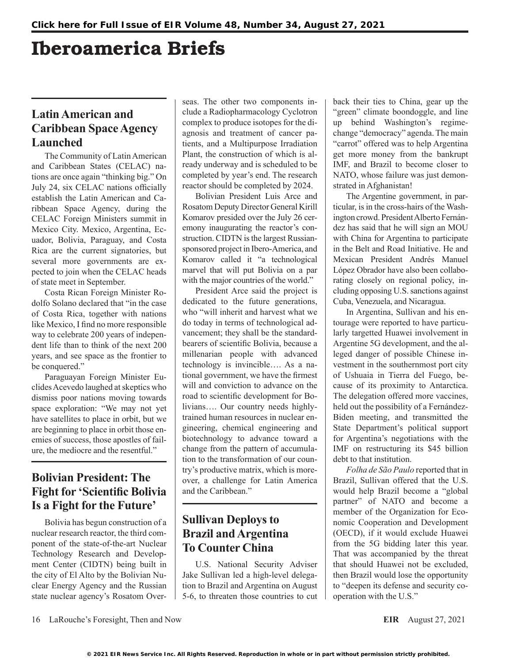# Iberoamerica Briefs

# **Latin American and Caribbean Space Agency Launched**

The Community of Latin American and Caribbean States (CELAC) nations are once again "thinking big." On July 24, six CELAC nations officially establish the Latin American and Caribbean Space Agency, during the CELAC Foreign Ministers summit in Mexico City. Mexico, Argentina, Ecuador, Bolivia, Paraguay, and Costa Rica are the current signatories, but several more governments are expected to join when the CELAC heads of state meet in September.

Costa Rican Foreign Minister Rodolfo Solano declared that "in the case of Costa Rica, together with nations like Mexico, I find no more responsible way to celebrate 200 years of independent life than to think of the next 200 years, and see space as the frontier to be conquered."

Paraguayan Foreign Minister Euclides Acevedo laughed at skeptics who dismiss poor nations moving towards space exploration: "We may not yet have satellites to place in orbit, but we are beginning to place in orbit those enemies of success, those apostles of failure, the mediocre and the resentful."

## **Bolivian President: The Fight for 'Scientific Bolivia Is a Fight for the Future'**

Bolivia has begun construction of a nuclear research reactor, the third component of the state-of-the-art Nuclear Technology Research and Development Center (CIDTN) being built in the city of El Alto by the Bolivian Nuclear Energy Agency and the Russian state nuclear agency's Rosatom Overseas. The other two components include a Radiopharmacology Cyclotron complex to produce isotopes for the diagnosis and treatment of cancer patients, and a Multipurpose Irradiation Plant, the construction of which is already underway and is scheduled to be completed by year's end. The research reactor should be completed by 2024.

Bolivian President Luis Arce and Rosatom Deputy Director General Kirill Komarov presided over the July 26 ceremony inaugurating the reactor's construction. CIDTN is the largest Russiansponsored project in Ibero-America, and Komarov called it "a technological marvel that will put Bolivia on a par with the major countries of the world."

President Arce said the project is dedicated to the future generations, who "will inherit and harvest what we do today in terms of technological advancement; they shall be the standardbearers of scientific Bolivia, because a millenarian people with advanced technology is invincible…. As a national government, we have the firmest will and conviction to advance on the road to scientific development for Bolivians…. Our country needs highlytrained human resources in nuclear engineering, chemical engineering and biotechnology to advance toward a change from the pattern of accumulation to the transformation of our country's productive matrix, which is moreover, a challenge for Latin America and the Caribbean."

## **Sullivan Deploys to Brazil and Argentina To Counter China**

U.S. National Security Adviser Jake Sullivan led a high-level delegation to Brazil and Argentina on August 5-6, to threaten those countries to cut

back their ties to China, gear up the "green" climate boondoggle, and line up behind Washington's regimechange "democracy" agenda. The main "carrot" offered was to help Argentina get more money from the bankrupt IMF, and Brazil to become closer to NATO, whose failure was just demonstrated in Afghanistan!

The Argentine government, in particular, is in the cross-hairs of the Washington crowd. President Alberto Fernández has said that he will sign an MOU with China for Argentina to participate in the Belt and Road Initiative. He and Mexican President Andrés Manuel López Obrador have also been collaborating closely on regional policy, including opposing U.S. sanctions against Cuba, Venezuela, and Nicaragua.

In Argentina, Sullivan and his entourage were reported to have particularly targetted Huawei involvement in Argentine 5G development, and the alleged danger of possible Chinese investment in the southernmost port city of Ushuaia in Tierra del Fuego, because of its proximity to Antarctica. The delegation offered more vaccines, held out the possibility of a Fernández-Biden meeting, and transmitted the State Department's political support for Argentina's negotiations with the IMF on restructuring its \$45 billion debt to that institution.

*Folha de São Paulo* reported that in Brazil, Sullivan offered that the U.S. would help Brazil become a "global partner" of NATO and become a member of the Organization for Economic Cooperation and Development (OECD), if it would exclude Huawei from the 5G bidding later this year. That was accompanied by the threat that should Huawei not be excluded, then Brazil would lose the opportunity to "deepen its defense and security cooperation with the U.S."